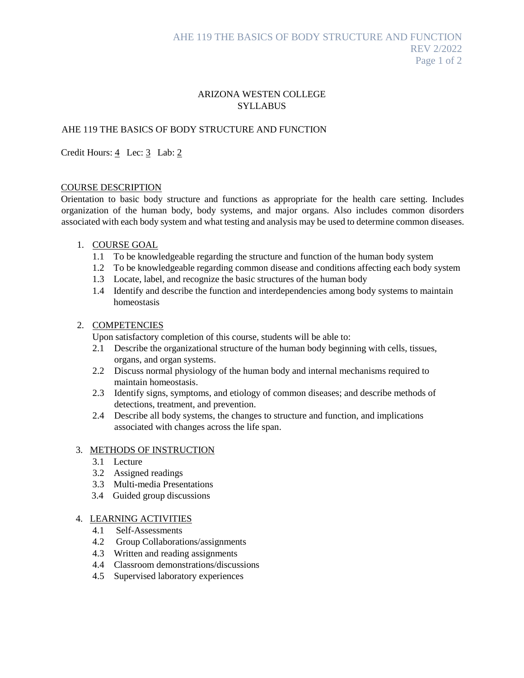# ARIZONA WESTEN COLLEGE **SYLLABUS**

# AHE 119 THE BASICS OF BODY STRUCTURE AND FUNCTION

## Credit Hours: 4 Lec: 3 Lab: 2

#### COURSE DESCRIPTION

Orientation to basic body structure and functions as appropriate for the health care setting. Includes organization of the human body, body systems, and major organs. Also includes common disorders associated with each body system and what testing and analysis may be used to determine common diseases.

### 1. COURSE GOAL

- 1.1 To be knowledgeable regarding the structure and function of the human body system
- 1.2 To be knowledgeable regarding common disease and conditions affecting each body system
- 1.3 Locate, label, and recognize the basic structures of the human body
- 1.4 Identify and describe the function and interdependencies among body systems to maintain homeostasis

#### 2. COMPETENCIES

Upon satisfactory completion of this course, students will be able to:

- 2.1 Describe the organizational structure of the human body beginning with cells, tissues, organs, and organ systems.
- 2.2 Discuss normal physiology of the human body and internal mechanisms required to maintain homeostasis.
- 2.3 Identify signs, symptoms, and etiology of common diseases; and describe methods of detections, treatment, and prevention.
- 2.4 Describe all body systems, the changes to structure and function, and implications associated with changes across the life span.

#### 3. METHODS OF INSTRUCTION

- 3.1 Lecture
- 3.2 Assigned readings
- 3.3 Multi-media Presentations
- 3.4 Guided group discussions

## 4. LEARNING ACTIVITIES

- 4.1 Self-Assessments
- 4.2 Group Collaborations/assignments
- 4.3 Written and reading assignments
- 4.4 Classroom demonstrations/discussions
- 4.5 Supervised laboratory experiences